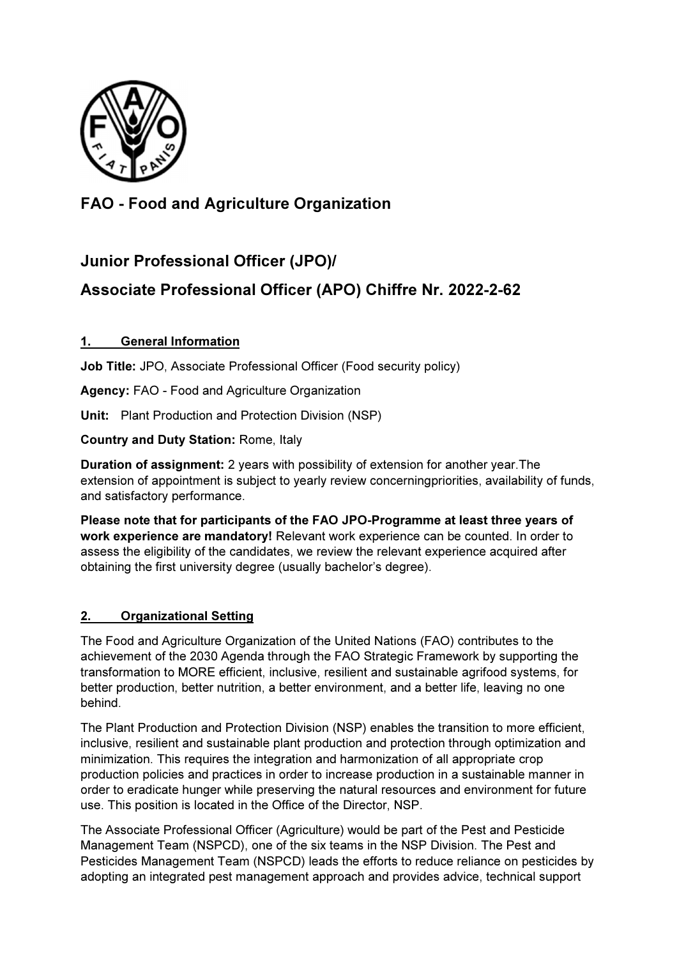

# FAO - Food and Agriculture Organization

## Junior Professional Officer (JPO)/

# Associate Professional Officer (APO) Chiffre Nr. 2022-2-62

## 1. General Information

Job Title: JPO, Associate Professional Officer (Food security policy)

Agency: FAO - Food and Agriculture Organization

Unit: Plant Production and Protection Division (NSP)

Country and Duty Station: Rome, Italy

Duration of assignment: 2 years with possibility of extension for another year.The extension of appointment is subject to yearly review concerningpriorities, availability of funds, and satisfactory performance.

Please note that for participants of the FAO JPO-Programme at least three years of work experience are mandatory! Relevant work experience can be counted. In order to assess the eligibility of the candidates, we review the relevant experience acquired after obtaining the first university degree (usually bachelor's degree).

### 2. Organizational Setting

The Food and Agriculture Organization of the United Nations (FAO) contributes to the achievement of the 2030 Agenda through the FAO Strategic Framework by supporting the transformation to MORE efficient, inclusive, resilient and sustainable agrifood systems, for better production, better nutrition, a better environment, and a better life, leaving no one behind.

The Plant Production and Protection Division (NSP) enables the transition to more efficient, inclusive, resilient and sustainable plant production and protection through optimization and minimization. This requires the integration and harmonization of all appropriate crop production policies and practices in order to increase production in a sustainable manner in order to eradicate hunger while preserving the natural resources and environment for future use. This position is located in the Office of the Director, NSP.

The Associate Professional Officer (Agriculture) would be part of the Pest and Pesticide Management Team (NSPCD), one of the six teams in the NSP Division. The Pest and Pesticides Management Team (NSPCD) leads the efforts to reduce reliance on pesticides by adopting an integrated pest management approach and provides advice, technical support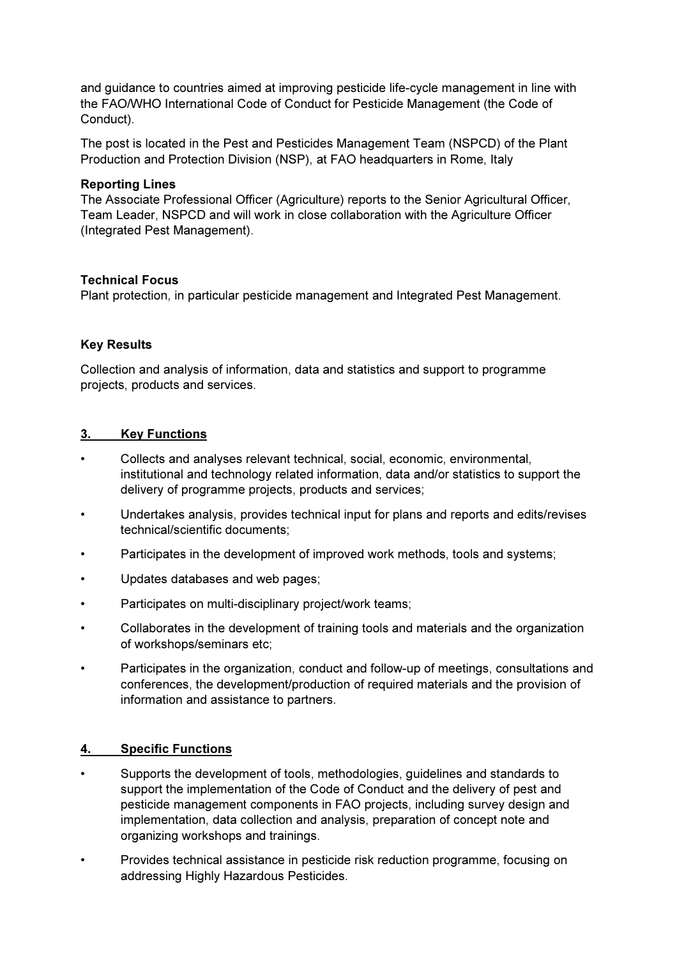and guidance to countries aimed at improving pesticide life-cycle management in line with the FAO/WHO International Code of Conduct for Pesticide Management (the Code of Conduct).

The post is located in the Pest and Pesticides Management Team (NSPCD) of the Plant Production and Protection Division (NSP), at FAO headquarters in Rome, Italy

#### Reporting Lines

The Associate Professional Officer (Agriculture) reports to the Senior Agricultural Officer, Team Leader, NSPCD and will work in close collaboration with the Agriculture Officer (Integrated Pest Management).

#### Technical Focus

Plant protection, in particular pesticide management and Integrated Pest Management.

#### Key Results

Collection and analysis of information, data and statistics and support to programme projects, products and services.

#### 3. Key Functions

- Collects and analyses relevant technical, social, economic, environmental, institutional and technology related information, data and/or statistics to support the delivery of programme projects, products and services;
- Undertakes analysis, provides technical input for plans and reports and edits/revises technical/scientific documents;
- Participates in the development of improved work methods, tools and systems;
- Updates databases and web pages;
- Participates on multi-disciplinary project/work teams;
- Collaborates in the development of training tools and materials and the organization of workshops/seminars etc;
- Participates in the organization, conduct and follow-up of meetings, consultations and conferences, the development/production of required materials and the provision of information and assistance to partners.

#### 4. Specific Functions

- Supports the development of tools, methodologies, guidelines and standards to support the implementation of the Code of Conduct and the delivery of pest and pesticide management components in FAO projects, including survey design and implementation, data collection and analysis, preparation of concept note and organizing workshops and trainings.
- Provides technical assistance in pesticide risk reduction programme, focusing on addressing Highly Hazardous Pesticides.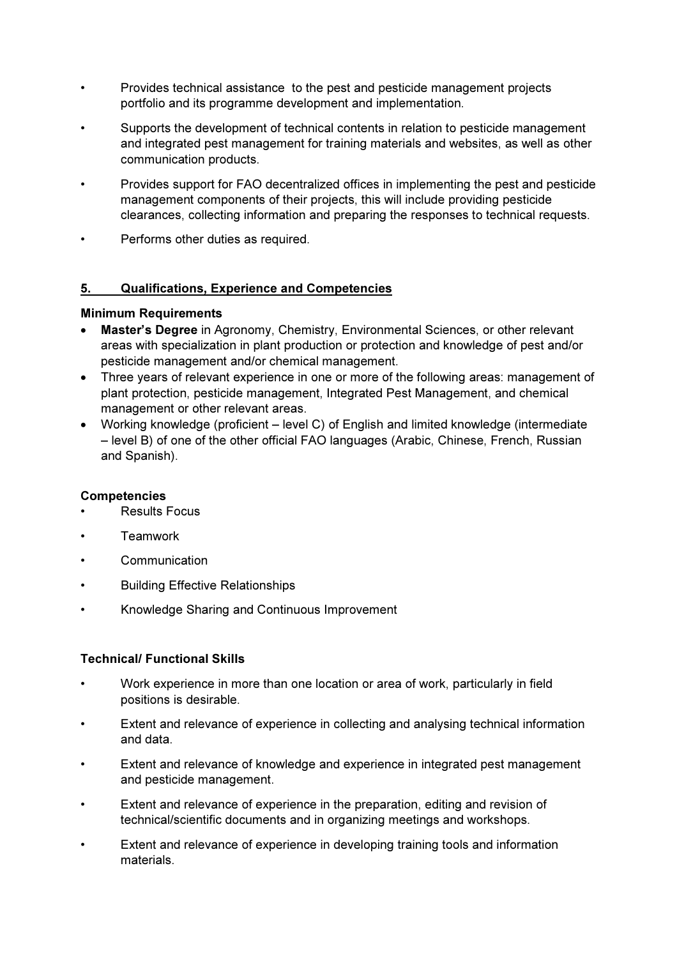- Provides technical assistance to the pest and pesticide management projects portfolio and its programme development and implementation.
- Supports the development of technical contents in relation to pesticide management and integrated pest management for training materials and websites, as well as other communication products.
- Provides support for FAO decentralized offices in implementing the pest and pesticide management components of their projects, this will include providing pesticide clearances, collecting information and preparing the responses to technical requests.
- Performs other duties as required.

### 5. Qualifications, Experience and Competencies

### Minimum Requirements

- Master's Degree in Agronomy, Chemistry, Environmental Sciences, or other relevant areas with specialization in plant production or protection and knowledge of pest and/or pesticide management and/or chemical management.
- Three years of relevant experience in one or more of the following areas: management of plant protection, pesticide management, Integrated Pest Management, and chemical management or other relevant areas.
- Working knowledge (proficient level C) of English and limited knowledge (intermediate – level B) of one of the other official FAO languages (Arabic, Chinese, French, Russian and Spanish).

#### **Competencies**

- Results Focus
- **Teamwork**
- Communication
- Building Effective Relationships
- Knowledge Sharing and Continuous Improvement

#### Technical/ Functional Skills

- Work experience in more than one location or area of work, particularly in field positions is desirable.
- Extent and relevance of experience in collecting and analysing technical information and data.
- Extent and relevance of knowledge and experience in integrated pest management and pesticide management.
- Extent and relevance of experience in the preparation, editing and revision of technical/scientific documents and in organizing meetings and workshops.
- Extent and relevance of experience in developing training tools and information materials.